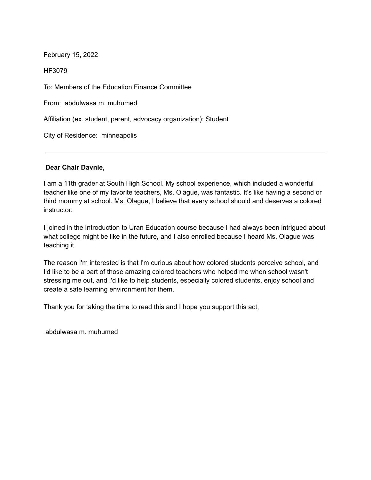HF3079

To: Members of the Education Finance Committee

From: abdulwasa m. muhumed

Affiliation (ex. student, parent, advocacy organization): Student

City of Residence: minneapolis

## **Dear Chair Davnie,**

I am a 11th grader at South High School. My school experience, which included a wonderful teacher like one of my favorite teachers, Ms. Olague, was fantastic. It's like having a second or third mommy at school. Ms. Olague, I believe that every school should and deserves a colored instructor.

I joined in the Introduction to Uran Education course because I had always been intrigued about what college might be like in the future, and I also enrolled because I heard Ms. Olague was teaching it.

The reason I'm interested is that I'm curious about how colored students perceive school, and I'd like to be a part of those amazing colored teachers who helped me when school wasn't stressing me out, and I'd like to help students, especially colored students, enjoy school and create a safe learning environment for them.

Thank you for taking the time to read this and I hope you support this act,

abdulwasa m. muhumed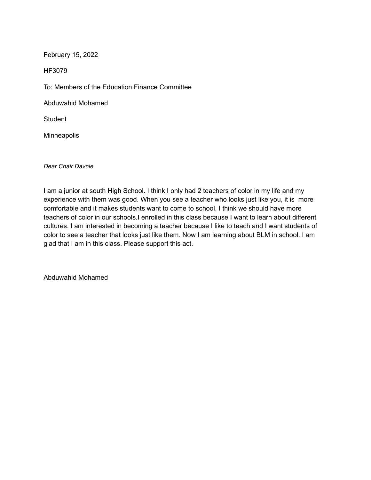HF3079

To: Members of the Education Finance Committee

Abduwahid Mohamed

**Student** 

Minneapolis

*Dear Chair Davnie*

I am a junior at south High School. I think I only had 2 teachers of color in my life and my experience with them was good. When you see a teacher who looks just like you, it is more comfortable and it makes students want to come to school. I think we should have more teachers of color in our schools.I enrolled in this class because I want to learn about different cultures. I am interested in becoming a teacher because I like to teach and I want students of color to see a teacher that looks just like them. Now I am learning about BLM in school. I am glad that I am in this class. Please support this act.

Abduwahid Mohamed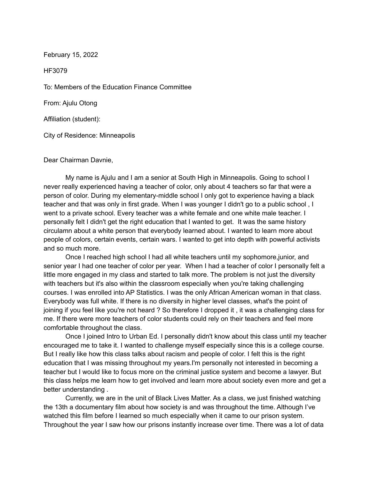HF3079

To: Members of the Education Finance Committee

From: Ajulu Otong

Affiliation (student):

City of Residence: Minneapolis

Dear Chairman Davnie,

My name is Ajulu and I am a senior at South High in Minneapolis. Going to school I never really experienced having a teacher of color, only about 4 teachers so far that were a person of color. During my elementary-middle school I only got to experience having a black teacher and that was only in first grade. When I was younger I didn't go to a public school , I went to a private school. Every teacher was a white female and one white male teacher. I personally felt I didn't get the right education that I wanted to get. It was the same history circulamn about a white person that everybody learned about. I wanted to learn more about people of colors, certain events, certain wars. I wanted to get into depth with powerful activists and so much more.

Once I reached high school I had all white teachers until my sophomore,junior, and senior year I had one teacher of color per year. When I had a teacher of color I personally felt a little more engaged in my class and started to talk more. The problem is not just the diversity with teachers but it's also within the classroom especially when you're taking challenging courses. I was enrolled into AP Statistics. I was the only African American woman in that class. Everybody was full white. If there is no diversity in higher level classes, what's the point of joining if you feel like you're not heard ? So therefore I dropped it , it was a challenging class for me. If there were more teachers of color students could rely on their teachers and feel more comfortable throughout the class.

Once I joined Intro to Urban Ed. I personally didn't know about this class until my teacher encouraged me to take it. I wanted to challenge myself especially since this is a college course. But I really like how this class talks about racism and people of color. I felt this is the right education that I was missing throughout my years.I'm personally not interested in becoming a teacher but I would like to focus more on the criminal justice system and become a lawyer. But this class helps me learn how to get involved and learn more about society even more and get a better understanding .

Currently, we are in the unit of Black Lives Matter. As a class, we just finished watching the 13th a documentary film about how society is and was throughout the time. Although I've watched this film before I learned so much especially when it came to our prison system. Throughout the year I saw how our prisons instantly increase over time. There was a lot of data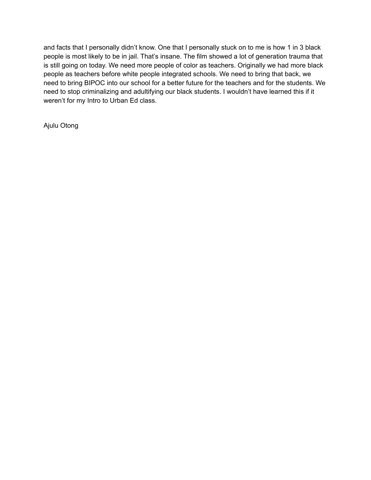and facts that I personally didn't know. One that I personally stuck on to me is how 1 in 3 black people is most likely to be in jail. That's insane. The film showed a lot of generation trauma that is still going on today. We need more people of color as teachers. Originally we had more black people as teachers before white people integrated schools. We need to bring that back, we need to bring BIPOC into our school for a better future for the teachers and for the students. We need to stop criminalizing and adultifying our black students. I wouldn't have learned this if it weren't for my Intro to Urban Ed class.

Ajulu Otong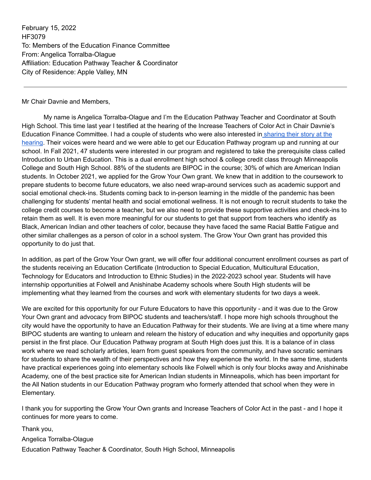February 15, 2022 HF3079 To: Members of the Education Finance Committee From: Angelica Torralba-Olague Affiliation: Education Pathway Teacher & Coordinator City of Residence: Apple Valley, MN

Mr Chair Davnie and Members,

My name is Angelica Torralba-Olague and I'm the Education Pathway Teacher and Coordinator at South High School. This time last year I testified at the hearing of the Increase Teachers of Color Act in Chair Davnie's Education Finance Committee. I had a couple of students who were also interested in [sharing their story at](https://youtu.be/GhmZycfyA68) the [hearing](https://youtu.be/GhmZycfyA68). Their voices were heard and we were able to get our Education Pathway program up and running at our school. In Fall 2021, 47 students were interested in our program and registered to take the prerequisite class called Introduction to Urban Education. This is a dual enrollment high school & college credit class through Minneapolis College and South High School. 88% of the students are BIPOC in the course; 30% of which are American Indian students. In October 2021, we applied for the Grow Your Own grant. We knew that in addition to the coursework to prepare students to become future educators, we also need wrap-around services such as academic support and social emotional check-ins. Students coming back to in-person learning in the middle of the pandemic has been challenging for students' mental health and social emotional wellness. It is not enough to recruit students to take the college credit courses to become a teacher, but we also need to provide these supportive activities and check-ins to retain them as well. It is even more meaningful for our students to get that support from teachers who identify as Black, American Indian and other teachers of color, because they have faced the same Racial Battle Fatigue and other similar challenges as a person of color in a school system. The Grow Your Own grant has provided this opportunity to do just that.

In addition, as part of the Grow Your Own grant, we will offer four additional concurrent enrollment courses as part of the students receiving an Education Certificate (Introduction to Special Education, Multicultural Education, Technology for Educators and Introduction to Ethnic Studies) in the 2022-2023 school year. Students will have internship opportunities at Folwell and Anishinabe Academy schools where South High students will be implementing what they learned from the courses and work with elementary students for two days a week.

We are excited for this opportunity for our Future Educators to have this opportunity - and it was due to the Grow Your Own grant and advocacy from BIPOC students and teachers/staff. I hope more high schools throughout the city would have the opportunity to have an Education Pathway for their students. We are living at a time where many BIPOC students are wanting to unlearn and relearn the history of education and why inequities and opportunity gaps persist in the first place. Our Education Pathway program at South High does just this. It is a balance of in class work where we read scholarly articles, learn from guest speakers from the community, and have socratic seminars for students to share the wealth of their perspectives and how they experience the world. In the same time, students have practical experiences going into elementary schools like Folwell which is only four blocks away and Anishinabe Academy, one of the best practice site for American Indian students in Minneapolis, which has been important for the All Nation students in our Education Pathway program who formerly attended that school when they were in Elementary.

I thank you for supporting the Grow Your Own grants and Increase Teachers of Color Act in the past - and I hope it continues for more years to come.

Thank you, Angelica Torralba-Olague Education Pathway Teacher & Coordinator, South High School, Minneapolis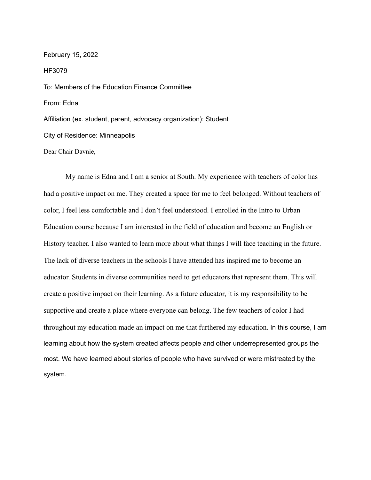February 15, 2022 HF3079 To: Members of the Education Finance Committee From: Edna Affiliation (ex. student, parent, advocacy organization): Student City of Residence: Minneapolis Dear Chair Davnie,

My name is Edna and I am a senior at South. My experience with teachers of color has had a positive impact on me. They created a space for me to feel belonged. Without teachers of color, I feel less comfortable and I don't feel understood. I enrolled in the Intro to Urban Education course because I am interested in the field of education and become an English or History teacher. I also wanted to learn more about what things I will face teaching in the future. The lack of diverse teachers in the schools I have attended has inspired me to become an educator. Students in diverse communities need to get educators that represent them. This will create a positive impact on their learning. As a future educator, it is my responsibility to be supportive and create a place where everyone can belong. The few teachers of color I had throughout my education made an impact on me that furthered my education. In this course, I am learning about how the system created affects people and other underrepresented groups the most. We have learned about stories of people who have survived or were mistreated by the system.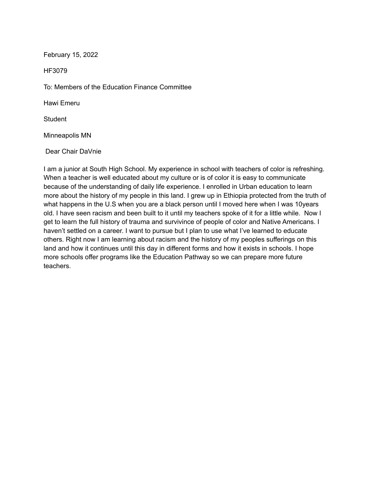HF3079

To: Members of the Education Finance Committee

Hawi Emeru

Student

Minneapolis MN

Dear Chair DaVnie

I am a junior at South High School. My experience in school with teachers of color is refreshing. When a teacher is well educated about my culture or is of color it is easy to communicate because of the understanding of daily life experience. I enrolled in Urban education to learn more about the history of my people in this land. I grew up in Ethiopia protected from the truth of what happens in the U.S when you are a black person until I moved here when I was 10years old. I have seen racism and been built to it until my teachers spoke of it for a little while. Now I get to learn the full history of trauma and survivince of people of color and Native Americans. I haven't settled on a career. I want to pursue but I plan to use what I've learned to educate others. Right now I am learning about racism and the history of my peoples sufferings on this land and how it continues until this day in different forms and how it exists in schools. I hope more schools offer programs like the Education Pathway so we can prepare more future teachers.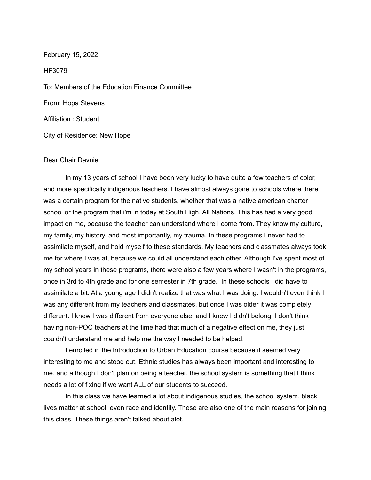February 15, 2022 HF3079 To: Members of the Education Finance Committee From: Hopa Stevens Affiliation : Student City of Residence: New Hope

### Dear Chair Davnie

In my 13 years of school I have been very lucky to have quite a few teachers of color, and more specifically indigenous teachers. I have almost always gone to schools where there was a certain program for the native students, whether that was a native american charter school or the program that i'm in today at South High, All Nations. This has had a very good impact on me, because the teacher can understand where I come from. They know my culture, my family, my history, and most importantly, my trauma. In these programs I never had to assimilate myself, and hold myself to these standards. My teachers and classmates always took me for where I was at, because we could all understand each other. Although I've spent most of my school years in these programs, there were also a few years where I wasn't in the programs, once in 3rd to 4th grade and for one semester in 7th grade. In these schools I did have to assimilate a bit. At a young age I didn't realize that was what I was doing. I wouldn't even think I was any different from my teachers and classmates, but once I was older it was completely different. I knew I was different from everyone else, and I knew I didn't belong. I don't think having non-POC teachers at the time had that much of a negative effect on me, they just couldn't understand me and help me the way I needed to be helped.

I enrolled in the Introduction to Urban Education course because it seemed very interesting to me and stood out. Ethnic studies has always been important and interesting to me, and although I don't plan on being a teacher, the school system is something that I think needs a lot of fixing if we want ALL of our students to succeed.

In this class we have learned a lot about indigenous studies, the school system, black lives matter at school, even race and identity. These are also one of the main reasons for joining this class. These things aren't talked about alot.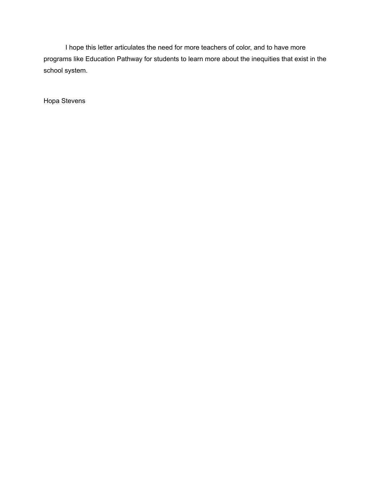I hope this letter articulates the need for more teachers of color, and to have more programs like Education Pathway for students to learn more about the inequities that exist in the school system.

Hopa Stevens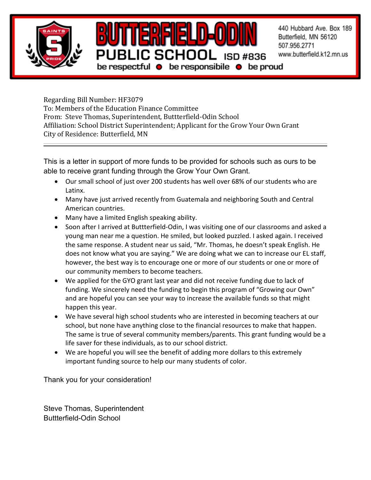

Regarding Bill Number: HF3079 To: Members of the Education Finance Committee From: Steve Thomas, Superintendent, Buttterfield-Odin School Affiliation: School District Superintendent; Applicant for the Grow Your Own Grant City of Residence: Butterfield, MN

This is a letter in support of more funds to be provided for schools such as ours to be able to receive grant funding through the Grow Your Own Grant.

- Our small school of just over 200 students has well over 68% of our students who are Latinx.
- Many have just arrived recently from Guatemala and neighboring South and Central American countries.
- Many have a limited English speaking ability.
- Soon after I arrived at Buttterfield-Odin, I was visiting one of our classrooms and asked a young man near me a question. He smiled, but looked puzzled. I asked again. I received the same response. A student near us said, "Mr. Thomas, he doesn't speak English. He does not know what you are saying." We are doing what we can to increase our EL staff, however, the best way is to encourage one or more of our students or one or more of our community members to become teachers.
- We applied for the GYO grant last year and did not receive funding due to lack of funding. We sincerely need the funding to begin this program of "Growing our Own" and are hopeful you can see your way to increase the available funds so that might happen this year.
- We have several high school students who are interested in becoming teachers at our school, but none have anything close to the financial resources to make that happen. The same is true of several community members/parents. This grant funding would be a life saver for these individuals, as to our school district.
- We are hopeful you will see the benefit of adding more dollars to this extremely important funding source to help our many students of color.

Thank you for your consideration!

Steve Thomas, Superintendent Buttterfield-Odin School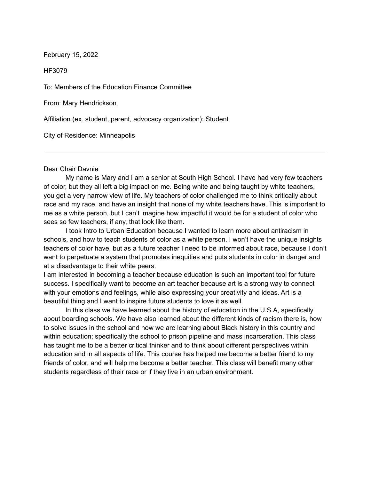HF3079

To: Members of the Education Finance Committee

From: Mary Hendrickson

Affiliation (ex. student, parent, advocacy organization): Student

City of Residence: Minneapolis

### Dear Chair Davnie

My name is Mary and I am a senior at South High School. I have had very few teachers of color, but they all left a big impact on me. Being white and being taught by white teachers, you get a very narrow view of life. My teachers of color challenged me to think critically about race and my race, and have an insight that none of my white teachers have. This is important to me as a white person, but I can't imagine how impactful it would be for a student of color who sees so few teachers, if any, that look like them.

I took Intro to Urban Education because I wanted to learn more about antiracism in schools, and how to teach students of color as a white person. I won't have the unique insights teachers of color have, but as a future teacher I need to be informed about race, because I don't want to perpetuate a system that promotes inequities and puts students in color in danger and at a disadvantage to their white peers.

I am interested in becoming a teacher because education is such an important tool for future success. I specifically want to become an art teacher because art is a strong way to connect with your emotions and feelings, while also expressing your creativity and ideas. Art is a beautiful thing and I want to inspire future students to love it as well.

In this class we have learned about the history of education in the U.S.A, specifically about boarding schools. We have also learned about the different kinds of racism there is, how to solve issues in the school and now we are learning about Black history in this country and within education; specifically the school to prison pipeline and mass incarceration. This class has taught me to be a better critical thinker and to think about different perspectives within education and in all aspects of life. This course has helped me become a better friend to my friends of color, and will help me become a better teacher. This class will benefit many other students regardless of their race or if they live in an urban environment.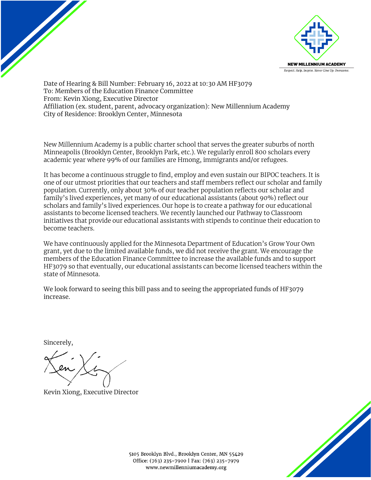

Date of Hearing & Bill Number: February 16, 2022 at 10:30 AM HF3079 To: Members of the Education Finance Committee From: Kevin Xiong, Executive Director Affiliation (ex. student, parent, advocacy organization): New Millennium Academy City of Residence: Brooklyn Center, Minnesota

New Millennium Academy is a public charter school that serves the greater suburbs of north Minneapolis (Brooklyn Center, Brooklyn Park, etc.). We regularly enroll 800 scholars every academic year where 99% of our families are Hmong, immigrants and/or refugees.

It has become a continuous struggle to find, employ and even sustain our BIPOC teachers. It is one of our utmost priorities that our teachers and staff members reflect our scholar and family population. Currently, only about 30% of our teacher population reflects our scholar and family's lived experiences, yet many of our educational assistants (about 90%) reflect our scholars and family's lived experiences. Our hope is to create a pathway for our educational assistants to become licensed teachers. We recently launched our Pathway to Classroom initiatives that provide our educational assistants with stipends to continue their education to become teachers.

We have continuously applied for the Minnesota Department of Education's Grow Your Own grant, yet due to the limited available funds, we did not receive the grant. We encourage the members of the Education Finance Committee to increase the available funds and to support HF3079 so that eventually, our educational assistants can become licensed teachers within the state of Minnesota.

We look forward to seeing this bill pass and to seeing the appropriated funds of HF3079 increase.

Sincerely,

Kevin Xiong, Executive Director



5105 Brooklyn Blvd., Brooklyn Center, MN 55429 Office: (763) 235-7900 | Fax: (763) 235-7979 www.newmillenniumacademy.org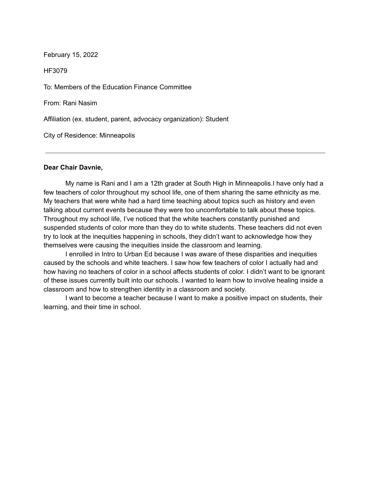HF3079

To: Members of the Education Finance Committee

From: Rani Nasim

Affiliation (ex. student, parent, advocacy organization): Student

City of Residence: Minneapolis

### **Dear Chair Davnie,**

My name is Rani and I am a 12th grader at South High in Minneapolis.I have only had a few teachers of color throughout my school life, one of them sharing the same ethnicity as me. My teachers that were white had a hard time teaching about topics such as history and even talking about current events because they were too uncomfortable to talk about these topics. Throughout my school life, I've noticed that the white teachers constantly punished and suspended students of color more than they do to white students. These teachers did not even try to look at the inequities happening in schools, they didn't want to acknowledge how they themselves were causing the inequities inside the classroom and learning.

I enrolled in Intro to Urban Ed because I was aware of these disparities and inequities caused by the schools and white teachers. I saw how few teachers of color I actually had and how having no teachers of color in a school affects students of color. I didn't want to be ignorant of these issues currently built into our schools. I wanted to learn how to involve healing inside a classroom and how to strengthen identity in a classroom and society.

I want to become a teacher because I want to make a positive impact on students, their learning, and their time in school.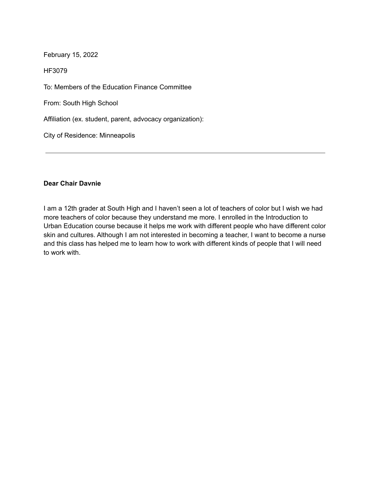HF3079

To: Members of the Education Finance Committee

From: South High School

Affiliation (ex. student, parent, advocacy organization):

City of Residence: Minneapolis

# **Dear Chair Davnie**

I am a 12th grader at South High and I haven't seen a lot of teachers of color but I wish we had more teachers of color because they understand me more. I enrolled in the Introduction to Urban Education course because it helps me work with different people who have different color skin and cultures. Although I am not interested in becoming a teacher, I want to become a nurse and this class has helped me to learn how to work with different kinds of people that I will need to work with.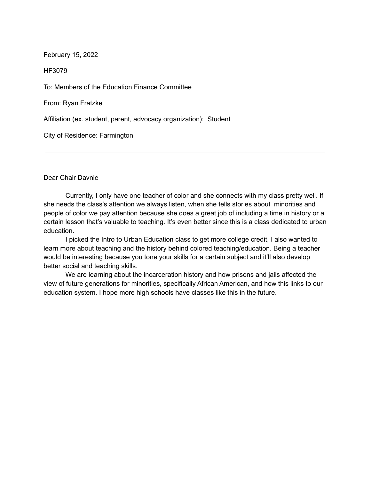HF3079

To: Members of the Education Finance Committee

From: Ryan Fratzke

Affiliation (ex. student, parent, advocacy organization): Student

City of Residence: Farmington

Dear Chair Davnie

Currently, I only have one teacher of color and she connects with my class pretty well. If she needs the class's attention we always listen, when she tells stories about minorities and people of color we pay attention because she does a great job of including a time in history or a certain lesson that's valuable to teaching. It's even better since this is a class dedicated to urban education.

I picked the Intro to Urban Education class to get more college credit, I also wanted to learn more about teaching and the history behind colored teaching/education. Being a teacher would be interesting because you tone your skills for a certain subject and it'll also develop better social and teaching skills.

We are learning about the incarceration history and how prisons and jails affected the view of future generations for minorities, specifically African American, and how this links to our education system. I hope more high schools have classes like this in the future.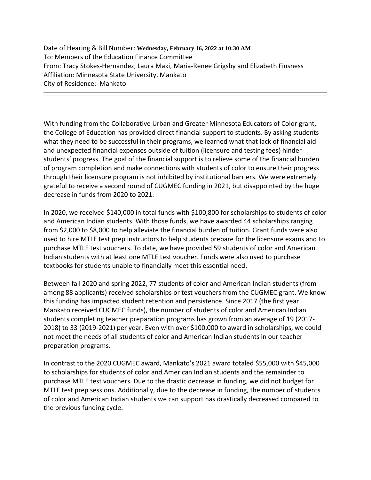Date of Hearing & Bill Number: **Wednesday, February 16, 2022 at 10:30 AM** To: Members of the Education Finance Committee From: Tracy Stokes-Hernandez, Laura Maki, Maria-Renee Grigsby and Elizabeth Finsness Affiliation: Minnesota State University, Mankato City of Residence: Mankato

With funding from the Collaborative Urban and Greater Minnesota Educators of Color grant, the College of Education has provided direct financial support to students. By asking students what they need to be successful in their programs, we learned what that lack of financial aid and unexpected financial expenses outside of tuition (licensure and testing fees) hinder students' progress. The goal of the financial support is to relieve some of the financial burden of program completion and make connections with students of color to ensure their progress through their licensure program is not inhibited by institutional barriers. We were extremely grateful to receive a second round of CUGMEC funding in 2021, but disappointed by the huge decrease in funds from 2020 to 2021.

In 2020, we received \$140,000 in total funds with \$100,800 for scholarships to students of color and American Indian students. With those funds, we have awarded 44 scholarships ranging from \$2,000 to \$8,000 to help alleviate the financial burden of tuition. Grant funds were also used to hire MTLE test prep instructors to help students prepare for the licensure exams and to purchase MTLE test vouchers. To date, we have provided 59 students of color and American Indian students with at least one MTLE test voucher. Funds were also used to purchase textbooks for students unable to financially meet this essential need.

Between fall 2020 and spring 2022, 77 students of color and American Indian students (from among 88 applicants) received scholarships or test vouchers from the CUGMEC grant. We know this funding has impacted student retention and persistence. Since 2017 (the first year Mankato received CUGMEC funds), the number of students of color and American Indian students completing teacher preparation programs has grown from an average of 19 (2017- 2018) to 33 (2019-2021) per year. Even with over \$100,000 to award in scholarships, we could not meet the needs of all students of color and American Indian students in our teacher preparation programs.

In contrast to the 2020 CUGMEC award, Mankato's 2021 award totaled \$55,000 with \$45,000 to scholarships for students of color and American Indian students and the remainder to purchase MTLE test vouchers. Due to the drastic decrease in funding, we did not budget for MTLE test prep sessions. Additionally, due to the decrease in funding, the number of students of color and American Indian students we can support has drastically decreased compared to the previous funding cycle.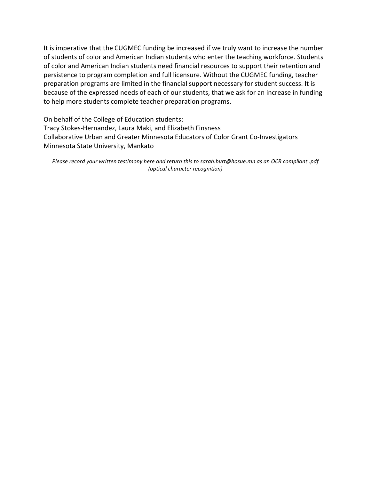It is imperative that the CUGMEC funding be increased if we truly want to increase the number of students of color and American Indian students who enter the teaching workforce. Students of color and American Indian students need financial resources to support their retention and persistence to program completion and full licensure. Without the CUGMEC funding, teacher preparation programs are limited in the financial support necessary for student success. It is because of the expressed needs of each of our students, that we ask for an increase in funding to help more students complete teacher preparation programs.

On behalf of the College of Education students: Tracy Stokes-Hernandez, Laura Maki, and Elizabeth Finsness Collaborative Urban and Greater Minnesota Educators of Color Grant Co-Investigators Minnesota State University, Mankato

*Please record your written testimony here and return this to sarah.burt@hosue.mn as an OCR compliant .pdf (optical character recognition)*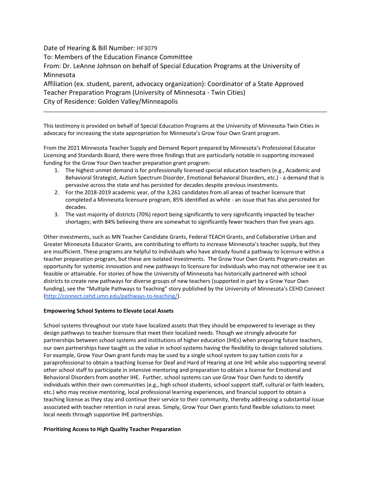Date of Hearing & Bill Number: HF3079 To: Members of the Education Finance Committee From: Dr. LeAnne Johnson on behalf of Special Education Programs at the University of Minnesota Affiliation (ex. student, parent, advocacy organization): Coordinator of a State Approved Teacher Preparation Program (University of Minnesota - Twin Cities) City of Residence: Golden Valley/Minneapolis

This testimony is provided on behalf of Special Education Programs at the University of Minnesota-Twin Cities in advocacy for increasing the state appropriation for Minnesota's Grow Your Own Grant program.

From the 2021 Minnesota Teacher Supply and Demand Report prepared by Minnesota's Professional Educator Licensing and Standards Board, there were three findings that are particularly notable in supporting increased funding for the Grow Your Own teacher preparation grant program:

- 1. The highest unmet demand is for professionally licensed special education teachers (e.g., Academic and Behavioral Strategist, Autism Spectrum Disorder, Emotional Behavioral Disorders, etc.) - a demand that is pervasive across the state and has persisted for decades despite previous investments.
- 2. For the 2018-2019 academic year, of the 3,261 candidates from all areas of teacher licensure that completed a Minnesota licensure program, 85% identified as white - an issue that has also persisted for decades.
- 3. The vast majority of districts (70%) report being significantly to very significantly impacted by teacher shortages; with 84% believing there are somewhat to significantly fewer teachers than five years ago.

Other investments, such as MN Teacher Candidate Grants, Federal TEACH Grants, and Collaborative Urban and Greater Minnesota Educator Grants, are contributing to efforts to increase Minnesota's teacher supply, but they are insufficient. These programs are helpful to individuals who have already found a pathway to licensure within a teacher preparation program, but these are isolated investments. The Grow Your Own Grants Program creates an opportunity for systemic innovation and new pathways to licensure for individuals who may not otherwise see it as feasible or attainable. For stories of how the University of Minnesota has historically partnered with school districts to create new pathways for diverse groups of new teachers (supported in part by a Grow Your Own funding), see the "Multiple Pathways to Teaching" story published by the University of Minnesota's CEHD Connect [\(http://connect.cehd.umn.edu/pathways-to-teaching/\)](http://connect.cehd.umn.edu/pathways-to-teaching/).

#### **Empowering School Systems to Elevate Local Assets**

School systems throughout our state have localized assets that they should be empowered to leverage as they design pathways to teacher licensure that meet their localized needs. Though we strongly advocate for partnerships between school systems and institutions of higher education (IHEs) when preparing future teachers, our own partnerships have taught us the value in school systems having the flexibility to design tailored solutions. For example, Grow Your Own grant funds may be used by a single school system to pay tuition costs for a paraprofessional to obtain a teaching license for Deaf and Hard of Hearing at one IHE while also supporting several other school staff to participate in intensive mentoring and preparation to obtain a license for Emotional and Behavioral Disorders from another IHE. Further, school systems can use Grow Your Own funds to identify individuals within their own communities (e.g., high school students, school support staff, cultural or faith leaders, etc.) who may receive mentoring, local professional learning experiences, and financial support to obtain a teaching license as they stay and continue their service to their community, thereby addressing a substantial issue associated with teacher retention in rural areas. Simply, Grow Your Own grants fund flexible solutions to meet local needs through supportive IHE partnerships.

#### **Prioritizing Access to High Quality Teacher Preparation**